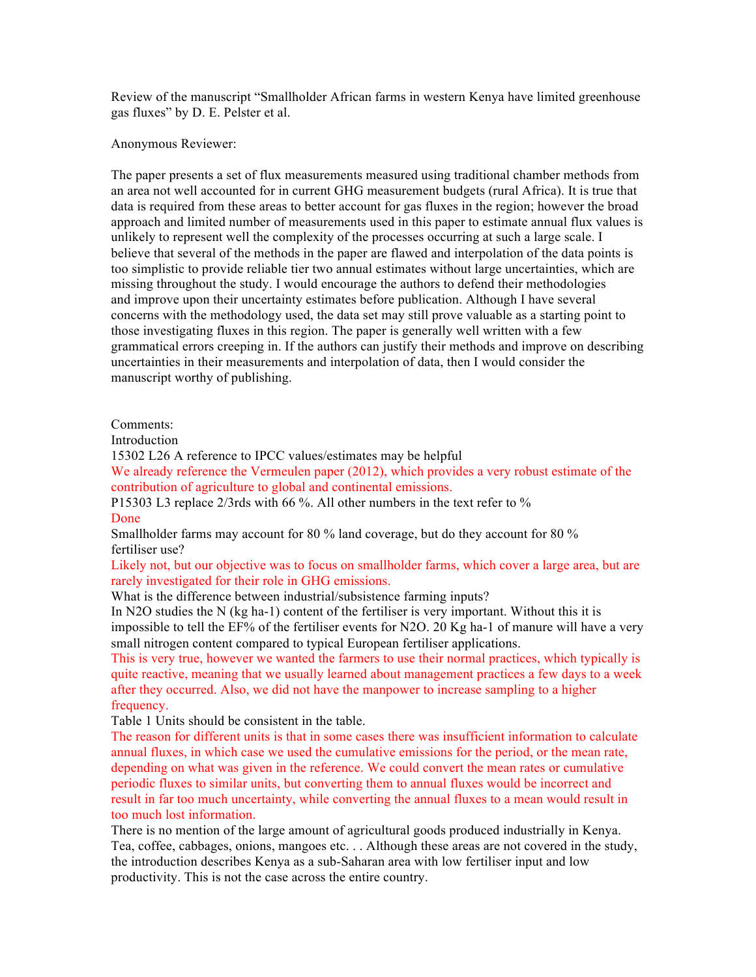Review of the manuscript "Smallholder African farms in western Kenya have limited greenhouse gas fluxes" by D. E. Pelster et al.

Anonymous Reviewer:

The paper presents a set of flux measurements measured using traditional chamber methods from an area not well accounted for in current GHG measurement budgets (rural Africa). It is true that data is required from these areas to better account for gas fluxes in the region; however the broad approach and limited number of measurements used in this paper to estimate annual flux values is unlikely to represent well the complexity of the processes occurring at such a large scale. I believe that several of the methods in the paper are flawed and interpolation of the data points is too simplistic to provide reliable tier two annual estimates without large uncertainties, which are missing throughout the study. I would encourage the authors to defend their methodologies and improve upon their uncertainty estimates before publication. Although I have several concerns with the methodology used, the data set may still prove valuable as a starting point to those investigating fluxes in this region. The paper is generally well written with a few grammatical errors creeping in. If the authors can justify their methods and improve on describing uncertainties in their measurements and interpolation of data, then I would consider the manuscript worthy of publishing.

## Comments:

Introduction

15302 L26 A reference to IPCC values/estimates may be helpful

We already reference the Vermeulen paper (2012), which provides a very robust estimate of the contribution of agriculture to global and continental emissions.

P15303 L3 replace 2/3rds with 66 %. All other numbers in the text refer to % Done

Smallholder farms may account for 80 % land coverage, but do they account for 80 % fertiliser use?

Likely not, but our objective was to focus on smallholder farms, which cover a large area, but are rarely investigated for their role in GHG emissions.

What is the difference between industrial/subsistence farming inputs?

In N2O studies the N (kg ha-1) content of the fertiliser is very important. Without this it is impossible to tell the EF% of the fertiliser events for N2O. 20 Kg ha-1 of manure will have a very small nitrogen content compared to typical European fertiliser applications.

This is very true, however we wanted the farmers to use their normal practices, which typically is quite reactive, meaning that we usually learned about management practices a few days to a week after they occurred. Also, we did not have the manpower to increase sampling to a higher frequency.

Table 1 Units should be consistent in the table.

The reason for different units is that in some cases there was insufficient information to calculate annual fluxes, in which case we used the cumulative emissions for the period, or the mean rate, depending on what was given in the reference. We could convert the mean rates or cumulative periodic fluxes to similar units, but converting them to annual fluxes would be incorrect and result in far too much uncertainty, while converting the annual fluxes to a mean would result in too much lost information.

There is no mention of the large amount of agricultural goods produced industrially in Kenya. Tea, coffee, cabbages, onions, mangoes etc. . . Although these areas are not covered in the study, the introduction describes Kenya as a sub-Saharan area with low fertiliser input and low productivity. This is not the case across the entire country.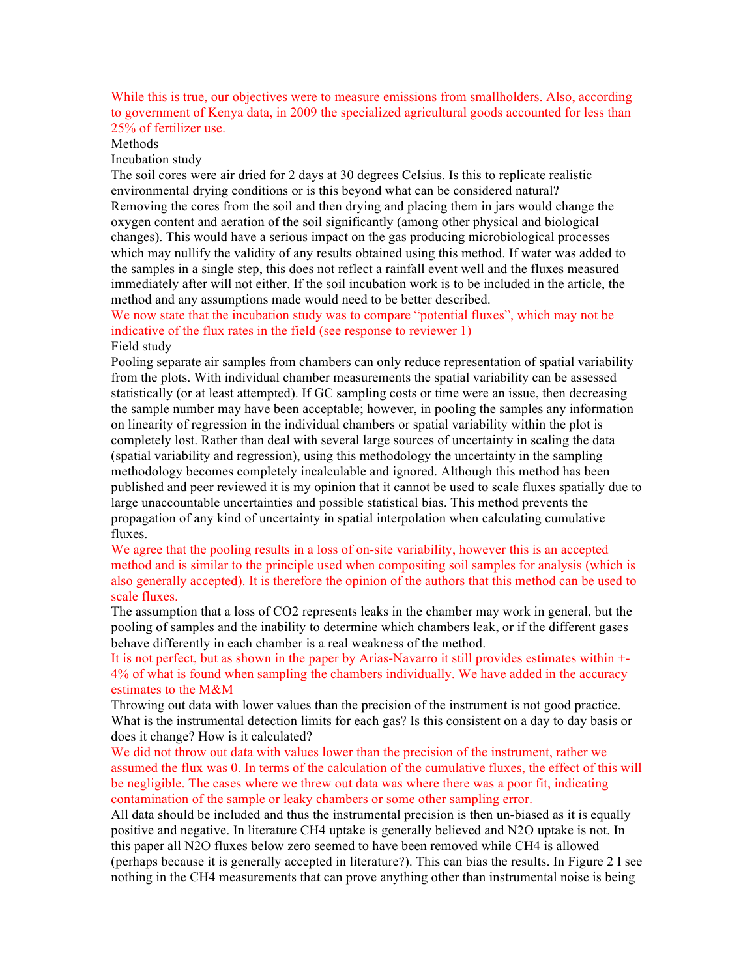While this is true, our objectives were to measure emissions from smallholders. Also, according to government of Kenya data, in 2009 the specialized agricultural goods accounted for less than 25% of fertilizer use.

Methods

Incubation study

The soil cores were air dried for 2 days at 30 degrees Celsius. Is this to replicate realistic environmental drying conditions or is this beyond what can be considered natural? Removing the cores from the soil and then drying and placing them in jars would change the oxygen content and aeration of the soil significantly (among other physical and biological changes). This would have a serious impact on the gas producing microbiological processes which may nullify the validity of any results obtained using this method. If water was added to the samples in a single step, this does not reflect a rainfall event well and the fluxes measured immediately after will not either. If the soil incubation work is to be included in the article, the method and any assumptions made would need to be better described.

We now state that the incubation study was to compare "potential fluxes", which may not be indicative of the flux rates in the field (see response to reviewer 1) Field study

Pooling separate air samples from chambers can only reduce representation of spatial variability from the plots. With individual chamber measurements the spatial variability can be assessed statistically (or at least attempted). If GC sampling costs or time were an issue, then decreasing the sample number may have been acceptable; however, in pooling the samples any information on linearity of regression in the individual chambers or spatial variability within the plot is completely lost. Rather than deal with several large sources of uncertainty in scaling the data (spatial variability and regression), using this methodology the uncertainty in the sampling methodology becomes completely incalculable and ignored. Although this method has been published and peer reviewed it is my opinion that it cannot be used to scale fluxes spatially due to large unaccountable uncertainties and possible statistical bias. This method prevents the propagation of any kind of uncertainty in spatial interpolation when calculating cumulative fluxes.

We agree that the pooling results in a loss of on-site variability, however this is an accepted method and is similar to the principle used when compositing soil samples for analysis (which is also generally accepted). It is therefore the opinion of the authors that this method can be used to scale fluxes.

The assumption that a loss of CO2 represents leaks in the chamber may work in general, but the pooling of samples and the inability to determine which chambers leak, or if the different gases behave differently in each chamber is a real weakness of the method.

It is not perfect, but as shown in the paper by Arias-Navarro it still provides estimates within +- 4% of what is found when sampling the chambers individually. We have added in the accuracy estimates to the M&M

Throwing out data with lower values than the precision of the instrument is not good practice. What is the instrumental detection limits for each gas? Is this consistent on a day to day basis or does it change? How is it calculated?

We did not throw out data with values lower than the precision of the instrument, rather we assumed the flux was 0. In terms of the calculation of the cumulative fluxes, the effect of this will be negligible. The cases where we threw out data was where there was a poor fit, indicating contamination of the sample or leaky chambers or some other sampling error.

All data should be included and thus the instrumental precision is then un-biased as it is equally positive and negative. In literature CH4 uptake is generally believed and N2O uptake is not. In this paper all N2O fluxes below zero seemed to have been removed while CH4 is allowed (perhaps because it is generally accepted in literature?). This can bias the results. In Figure 2 I see nothing in the CH4 measurements that can prove anything other than instrumental noise is being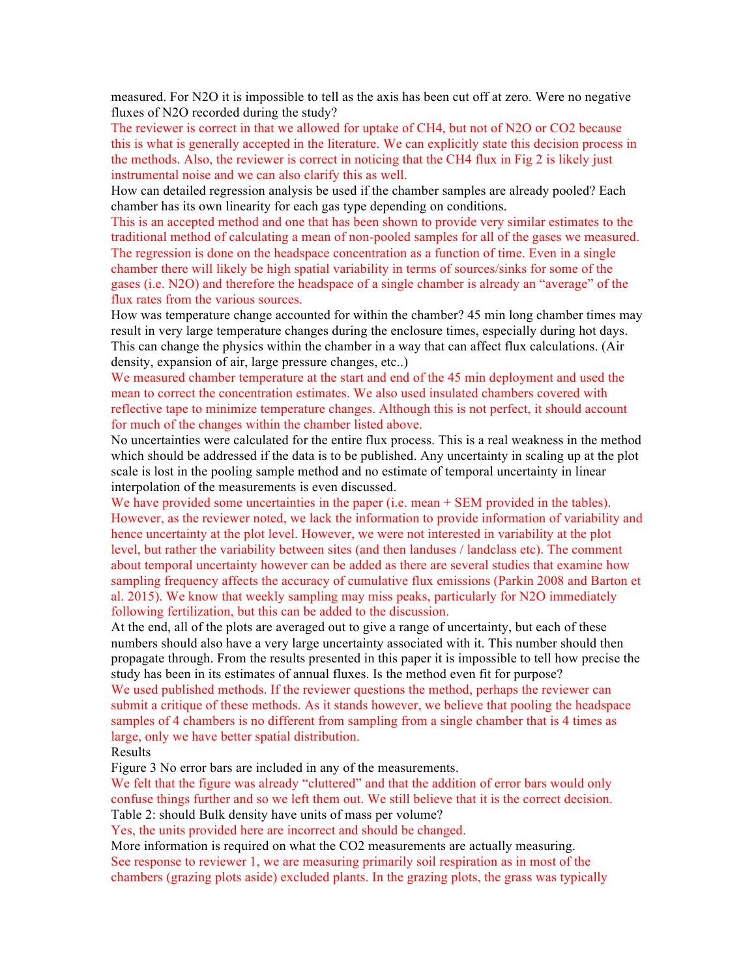measured. For N2O it is impossible to tell as the axis has been cut off at zero. Were no negative fluxes of N2O recorded during the study?

The reviewer is correct in that we allowed for uptake of CH4, but not of N2O or CO2 because this is what is generally accepted in the literature. We can explicitly state this decision process in the methods. Also, the reviewer is correct in noticing that the CH4 flux in Fig 2 is likely just instrumental noise and we can also clarify this as well.

How can detailed regression analysis be used if the chamber samples are already pooled? Each chamber has its own linearity for each gas type depending on conditions.

This is an accepted method and one that has been shown to provide very similar estimates to the traditional method of calculating a mean of non-pooled samples for all of the gases we measured. The regression is done on the headspace concentration as a function of time. Even in a single chamber there will likely be high spatial variability in terms of sources/sinks for some of the gases (i.e. N2O) and therefore the headspace of a single chamber is already an "average" of the flux rates from the various sources.

How was temperature change accounted for within the chamber? 45 min long chamber times may result in very large temperature changes during the enclosure times, especially during hot days. This can change the physics within the chamber in a way that can affect flux calculations. (Air density, expansion of air, large pressure changes, etc..)

We measured chamber temperature at the start and end of the 45 min deployment and used the mean to correct the concentration estimates. We also used insulated chambers covered with reflective tape to minimize temperature changes. Although this is not perfect, it should account for much of the changes within the chamber listed above.

No uncertainties were calculated for the entire flux process. This is a real weakness in the method which should be addressed if the data is to be published. Any uncertainty in scaling up at the plot scale is lost in the pooling sample method and no estimate of temporal uncertainty in linear interpolation of the measurements is even discussed.

We have provided some uncertainties in the paper (i.e. mean  $+$  SEM provided in the tables). However, as the reviewer noted, we lack the information to provide information of variability and hence uncertainty at the plot level. However, we were not interested in variability at the plot level, but rather the variability between sites (and then landuses / landclass etc). The comment about temporal uncertainty however can be added as there are several studies that examine how sampling frequency affects the accuracy of cumulative flux emissions (Parkin 2008 and Barton et al. 2015). We know that weekly sampling may miss peaks, particularly for N2O immediately following fertilization, but this can be added to the discussion.

At the end, all of the plots are averaged out to give a range of uncertainty, but each of these numbers should also have a very large uncertainty associated with it. This number should then propagate through. From the results presented in this paper it is impossible to tell how precise the study has been in its estimates of annual fluxes. Is the method even fit for purpose?

We used published methods. If the reviewer questions the method, perhaps the reviewer can submit a critique of these methods. As it stands however, we believe that pooling the headspace samples of 4 chambers is no different from sampling from a single chamber that is 4 times as large, only we have better spatial distribution.

## Results

Figure 3 No error bars are included in any of the measurements.

We felt that the figure was already "cluttered" and that the addition of error bars would only confuse things further and so we left them out. We still believe that it is the correct decision. Table 2: should Bulk density have units of mass per volume?

Yes, the units provided here are incorrect and should be changed.

More information is required on what the CO2 measurements are actually measuring.

See response to reviewer 1, we are measuring primarily soil respiration as in most of the chambers (grazing plots aside) excluded plants. In the grazing plots, the grass was typically